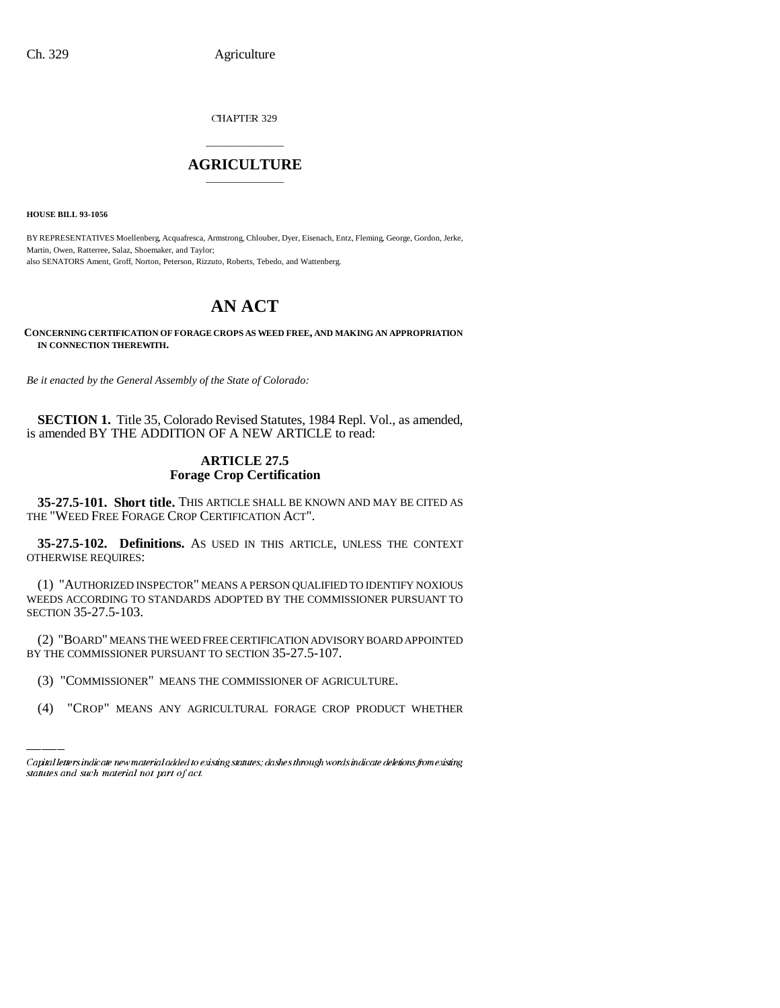CHAPTER 329

## \_\_\_\_\_\_\_\_\_\_\_\_\_\_\_ **AGRICULTURE** \_\_\_\_\_\_\_\_\_\_\_\_\_\_\_

**HOUSE BILL 93-1056**

BY REPRESENTATIVES Moellenberg, Acquafresca, Armstrong, Chlouber, Dyer, Eisenach, Entz, Fleming, George, Gordon, Jerke, Martin, Owen, Ratterree, Salaz, Shoemaker, and Taylor; also SENATORS Ament, Groff, Norton, Peterson, Rizzuto, Roberts, Tebedo, and Wattenberg.

# **AN ACT**

**CONCERNING CERTIFICATION OF FORAGE CROPS AS WEED FREE, AND MAKING AN APPROPRIATION IN CONNECTION THEREWITH.**

*Be it enacted by the General Assembly of the State of Colorado:*

**SECTION 1.** Title 35, Colorado Revised Statutes, 1984 Repl. Vol., as amended, is amended BY THE ADDITION OF A NEW ARTICLE to read:

### **ARTICLE 27.5 Forage Crop Certification**

**35-27.5-101. Short title.** THIS ARTICLE SHALL BE KNOWN AND MAY BE CITED AS THE "WEED FREE FORAGE CROP CERTIFICATION ACT".

**35-27.5-102. Definitions.** AS USED IN THIS ARTICLE, UNLESS THE CONTEXT OTHERWISE REQUIRES:

(1) "AUTHORIZED INSPECTOR" MEANS A PERSON QUALIFIED TO IDENTIFY NOXIOUS WEEDS ACCORDING TO STANDARDS ADOPTED BY THE COMMISSIONER PURSUANT TO SECTION 35-27.5-103.

BY THE COMMISSIONER PURSUANT TO SECTION 35-27.5-107. (2) "BOARD" MEANS THE WEED FREE CERTIFICATION ADVISORY BOARD APPOINTED

- (3) "COMMISSIONER" MEANS THE COMMISSIONER OF AGRICULTURE.
- (4) "CROP" MEANS ANY AGRICULTURAL FORAGE CROP PRODUCT WHETHER

Capital letters indicate new material added to existing statutes; dashes through words indicate deletions from existing statutes and such material not part of act.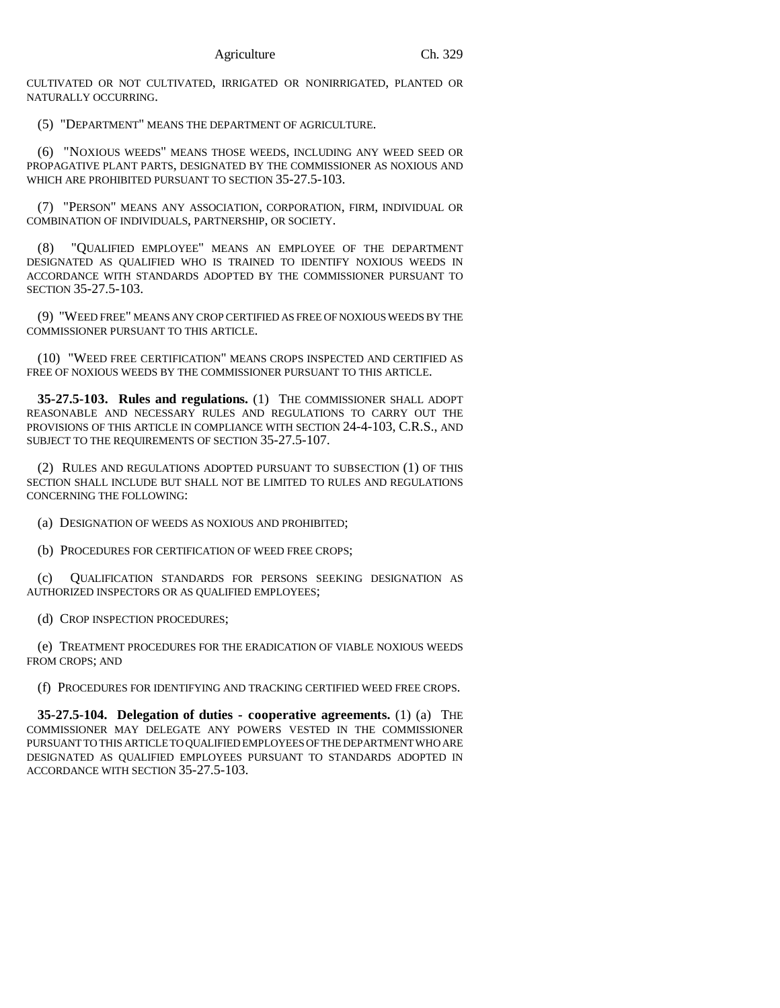CULTIVATED OR NOT CULTIVATED, IRRIGATED OR NONIRRIGATED, PLANTED OR NATURALLY OCCURRING.

(5) "DEPARTMENT" MEANS THE DEPARTMENT OF AGRICULTURE.

(6) "NOXIOUS WEEDS" MEANS THOSE WEEDS, INCLUDING ANY WEED SEED OR PROPAGATIVE PLANT PARTS, DESIGNATED BY THE COMMISSIONER AS NOXIOUS AND WHICH ARE PROHIBITED PURSUANT TO SECTION 35-27.5-103.

(7) "PERSON" MEANS ANY ASSOCIATION, CORPORATION, FIRM, INDIVIDUAL OR COMBINATION OF INDIVIDUALS, PARTNERSHIP, OR SOCIETY.

(8) "QUALIFIED EMPLOYEE" MEANS AN EMPLOYEE OF THE DEPARTMENT DESIGNATED AS QUALIFIED WHO IS TRAINED TO IDENTIFY NOXIOUS WEEDS IN ACCORDANCE WITH STANDARDS ADOPTED BY THE COMMISSIONER PURSUANT TO SECTION 35-27.5-103.

(9) "WEED FREE" MEANS ANY CROP CERTIFIED AS FREE OF NOXIOUS WEEDS BY THE COMMISSIONER PURSUANT TO THIS ARTICLE.

(10) "WEED FREE CERTIFICATION" MEANS CROPS INSPECTED AND CERTIFIED AS FREE OF NOXIOUS WEEDS BY THE COMMISSIONER PURSUANT TO THIS ARTICLE.

**35-27.5-103. Rules and regulations.** (1) THE COMMISSIONER SHALL ADOPT REASONABLE AND NECESSARY RULES AND REGULATIONS TO CARRY OUT THE PROVISIONS OF THIS ARTICLE IN COMPLIANCE WITH SECTION 24-4-103, C.R.S., AND SUBJECT TO THE REQUIREMENTS OF SECTION 35-27.5-107.

(2) RULES AND REGULATIONS ADOPTED PURSUANT TO SUBSECTION (1) OF THIS SECTION SHALL INCLUDE BUT SHALL NOT BE LIMITED TO RULES AND REGULATIONS CONCERNING THE FOLLOWING:

(a) DESIGNATION OF WEEDS AS NOXIOUS AND PROHIBITED;

(b) PROCEDURES FOR CERTIFICATION OF WEED FREE CROPS;

(c) QUALIFICATION STANDARDS FOR PERSONS SEEKING DESIGNATION AS AUTHORIZED INSPECTORS OR AS QUALIFIED EMPLOYEES;

(d) CROP INSPECTION PROCEDURES;

(e) TREATMENT PROCEDURES FOR THE ERADICATION OF VIABLE NOXIOUS WEEDS FROM CROPS; AND

(f) PROCEDURES FOR IDENTIFYING AND TRACKING CERTIFIED WEED FREE CROPS.

**35-27.5-104. Delegation of duties - cooperative agreements.** (1) (a) THE COMMISSIONER MAY DELEGATE ANY POWERS VESTED IN THE COMMISSIONER PURSUANT TO THIS ARTICLE TO QUALIFIED EMPLOYEES OF THE DEPARTMENT WHO ARE DESIGNATED AS QUALIFIED EMPLOYEES PURSUANT TO STANDARDS ADOPTED IN ACCORDANCE WITH SECTION 35-27.5-103.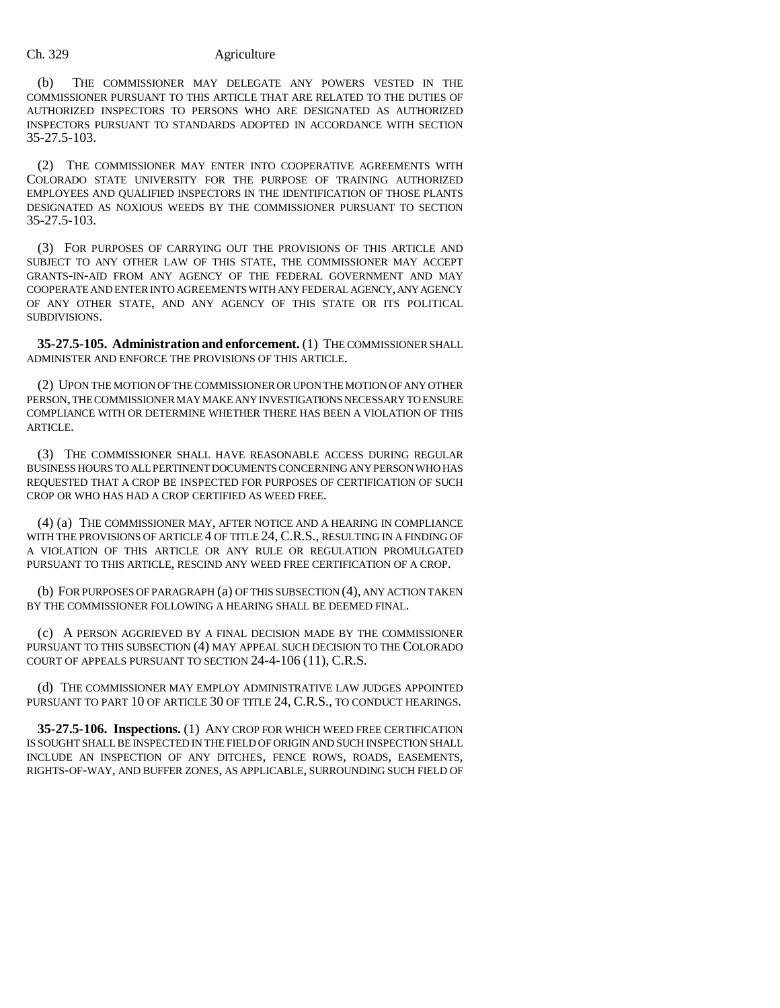#### Ch. 329 Agriculture

(b) THE COMMISSIONER MAY DELEGATE ANY POWERS VESTED IN THE COMMISSIONER PURSUANT TO THIS ARTICLE THAT ARE RELATED TO THE DUTIES OF AUTHORIZED INSPECTORS TO PERSONS WHO ARE DESIGNATED AS AUTHORIZED INSPECTORS PURSUANT TO STANDARDS ADOPTED IN ACCORDANCE WITH SECTION 35-27.5-103.

(2) THE COMMISSIONER MAY ENTER INTO COOPERATIVE AGREEMENTS WITH COLORADO STATE UNIVERSITY FOR THE PURPOSE OF TRAINING AUTHORIZED EMPLOYEES AND QUALIFIED INSPECTORS IN THE IDENTIFICATION OF THOSE PLANTS DESIGNATED AS NOXIOUS WEEDS BY THE COMMISSIONER PURSUANT TO SECTION 35-27.5-103.

(3) FOR PURPOSES OF CARRYING OUT THE PROVISIONS OF THIS ARTICLE AND SUBJECT TO ANY OTHER LAW OF THIS STATE, THE COMMISSIONER MAY ACCEPT GRANTS-IN-AID FROM ANY AGENCY OF THE FEDERAL GOVERNMENT AND MAY COOPERATE AND ENTER INTO AGREEMENTS WITH ANY FEDERAL AGENCY, ANY AGENCY OF ANY OTHER STATE, AND ANY AGENCY OF THIS STATE OR ITS POLITICAL SUBDIVISIONS.

**35-27.5-105. Administration and enforcement.** (1) THE COMMISSIONER SHALL ADMINISTER AND ENFORCE THE PROVISIONS OF THIS ARTICLE.

(2) UPON THE MOTION OF THE COMMISSIONER OR UPON THE MOTION OF ANY OTHER PERSON, THE COMMISSIONER MAY MAKE ANY INVESTIGATIONS NECESSARY TO ENSURE COMPLIANCE WITH OR DETERMINE WHETHER THERE HAS BEEN A VIOLATION OF THIS ARTICLE.

(3) THE COMMISSIONER SHALL HAVE REASONABLE ACCESS DURING REGULAR BUSINESS HOURS TO ALL PERTINENT DOCUMENTS CONCERNING ANY PERSON WHO HAS REQUESTED THAT A CROP BE INSPECTED FOR PURPOSES OF CERTIFICATION OF SUCH CROP OR WHO HAS HAD A CROP CERTIFIED AS WEED FREE.

(4) (a) THE COMMISSIONER MAY, AFTER NOTICE AND A HEARING IN COMPLIANCE WITH THE PROVISIONS OF ARTICLE 4 OF TITLE 24, C.R.S., RESULTING IN A FINDING OF A VIOLATION OF THIS ARTICLE OR ANY RULE OR REGULATION PROMULGATED PURSUANT TO THIS ARTICLE, RESCIND ANY WEED FREE CERTIFICATION OF A CROP.

(b) FOR PURPOSES OF PARAGRAPH (a) OF THIS SUBSECTION (4), ANY ACTION TAKEN BY THE COMMISSIONER FOLLOWING A HEARING SHALL BE DEEMED FINAL.

(c) A PERSON AGGRIEVED BY A FINAL DECISION MADE BY THE COMMISSIONER PURSUANT TO THIS SUBSECTION (4) MAY APPEAL SUCH DECISION TO THE COLORADO COURT OF APPEALS PURSUANT TO SECTION 24-4-106 (11), C.R.S.

(d) THE COMMISSIONER MAY EMPLOY ADMINISTRATIVE LAW JUDGES APPOINTED PURSUANT TO PART 10 OF ARTICLE 30 OF TITLE 24, C.R.S., TO CONDUCT HEARINGS.

**35-27.5-106. Inspections.** (1) ANY CROP FOR WHICH WEED FREE CERTIFICATION IS SOUGHT SHALL BE INSPECTED IN THE FIELD OF ORIGIN AND SUCH INSPECTION SHALL INCLUDE AN INSPECTION OF ANY DITCHES, FENCE ROWS, ROADS, EASEMENTS, RIGHTS-OF-WAY, AND BUFFER ZONES, AS APPLICABLE, SURROUNDING SUCH FIELD OF